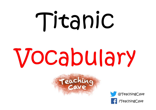# Titanic

## Vocabulary



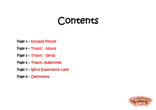## Contents

- Page 3 Notable People
- Page 4 Titanic Nouns
- Page 5 Titanic Verbs
- Page 6 Titanic Adjectives
- Page 7 Word Exploration cave
- Page 8 Definitions

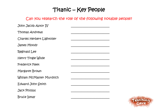### Titanic – Key People

#### Can you research the role of the following notable people?

| John Jacob Astor IV        |  |
|----------------------------|--|
| Thomas Andrews             |  |
| Charles Herbert Lightoller |  |
| <b>James Moody</b>         |  |
| Reginald Lee               |  |
| Henry Tingle Wilde         |  |
| <b>Frederick Fleet</b>     |  |
| Margaret Brown             |  |
| William McMaster Murdoch   |  |
| Edward John Smith          |  |
| <b>Jack Phillips</b>       |  |
| Bruce Ismay                |  |

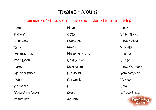## Titanic - Nouns

#### How many of these words have you included in your writing?

| Funnel           | Waves           | Deck                 |
|------------------|-----------------|----------------------|
| <b>Iceberg</b>   | CQD             | <b>Boiler Room</b>   |
| Lifeboats        | Lookouts        | Crow's Nest          |
| Radio            | Wreck           | Propeller            |
| Atlantic Ocean   | White Star Line | <b>Engines</b>       |
| Poop Deck        | Coal Bunker     | <b>Bridge</b>        |
| Cargo            | Restaurant      | Crew Quarters        |
| Marconi Room     | Fireworks       | Southampton          |
| Cobh             | Carpathia       | Voyage               |
| Starboard        | Hull            | Bow                  |
| Watertight Doors | Stern           | $14^{th}$ April 1912 |
| Passengers       | Anchor          | Teach                |

 $\bullet$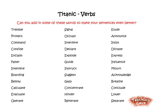### Titanic - Verbs

#### Can you add in some of these words to make your sentences even better?

| Tremble         | Signal         | Elude          |
|-----------------|----------------|----------------|
| Protect         | <b>OCCUPY</b>  | Announce       |
| Command         | Interfere      | Insist         |
| Confide         | Declare        | Dictate        |
| Exclaim         | <b>Explode</b> | <b>Express</b> |
| Falter          | Guide          | Influence      |
| Interfere       | Instruct       | Mourn          |
| <b>Boarding</b> | Suggest        | Acknowledge    |
| Bellow          | Gasp           | <b>Breathe</b> |
| Calculate       | Concentrate    | Conclude       |
| Evacuate        | <b>Hinder</b>  | Lower          |
| Operate         | Reiterate      | T<br>Separate  |

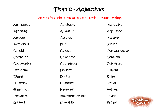### Titanic - Adjectives

#### Can you include some of these words in your writing?

| Abandoned         | Admirable               | Aggressive      |
|-------------------|-------------------------|-----------------|
| <b>Agonising</b>  | Altruistic              | Anguished       |
| Anxious           | Assured                 | Austere         |
| Avaricious        | Brisk                   | Buoyant         |
| Candid            | Colossal                | Compassionate   |
| Competent         | Composed                | Constant        |
| Cooperative       | Courageous              | Cultivated      |
| Deafening         | Decisive                | Diligent        |
| Dismal            | Doting                  | Eminent         |
| <b>Flickering</b> | Flustered               | Forceful        |
| Glamorous         | <b>Haunting</b>         | <b>Helpless</b> |
| Immediate         | Incomprehensible        | Lavish          |
| Spirited          | <i><b>Unwieldly</b></i> | Vacant          |

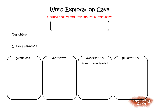## Word Exploration Cave

Choose a word and let's explore a little more!

| Use in a sentence: ___________ |           |                              |              |               |           |
|--------------------------------|-----------|------------------------------|--------------|---------------|-----------|
| Synonyms:                      | Antonyms: | This word is associated with | Association: | Illustration: |           |
|                                |           |                              |              | eac           | <b>iq</b> |

Cave